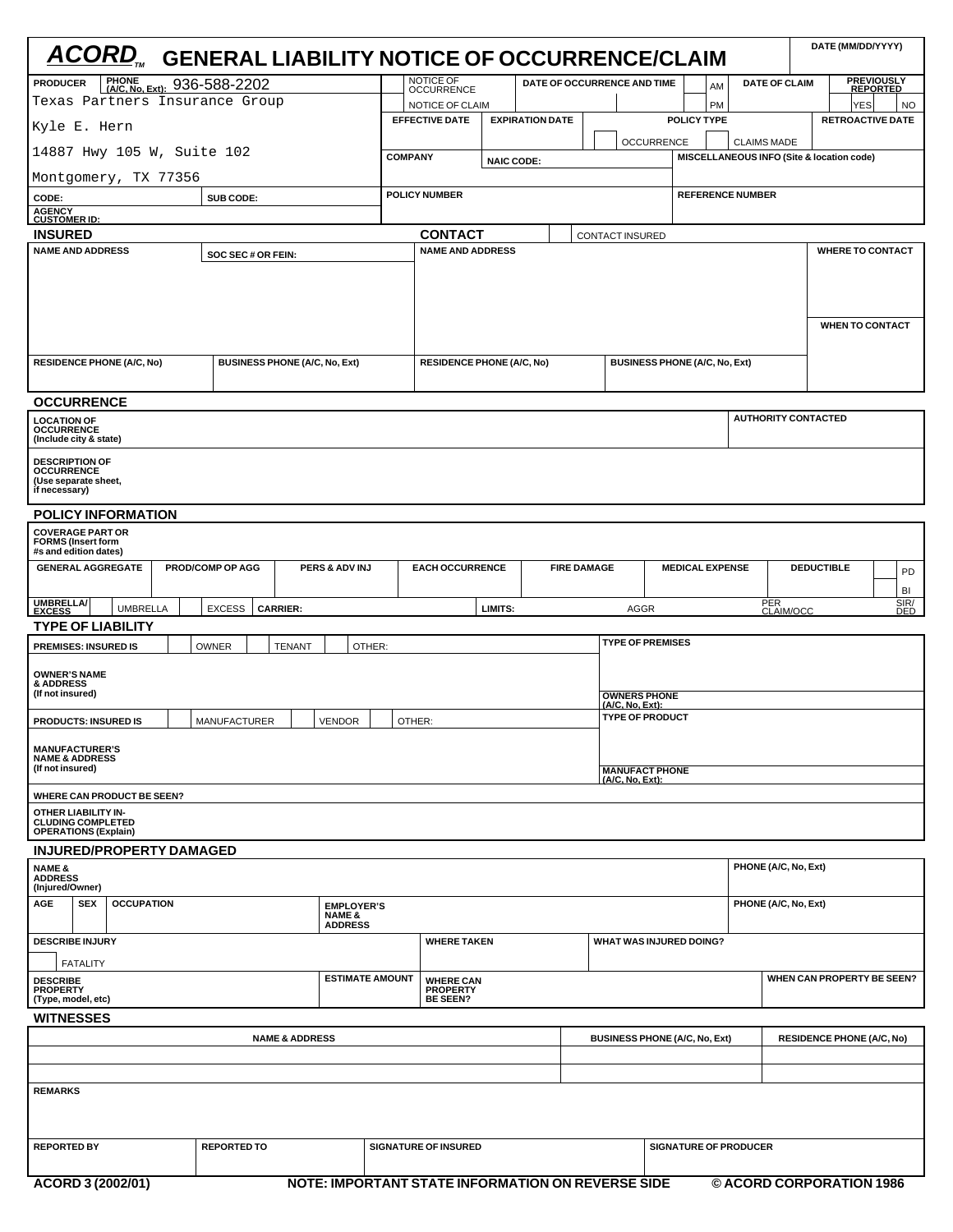| <b>ACORD, GENERAL LIABILITY NOTICE OF OCCURRENCE/CLAIM</b>                                         |                    |                                                          |                        |                                                 |                                      |                   |                                   |                                                                  |                                      |                            |                                                                 |                                                       | DATE (MM/DD/YYYY)        |  |
|----------------------------------------------------------------------------------------------------|--------------------|----------------------------------------------------------|------------------------|-------------------------------------------------|--------------------------------------|-------------------|-----------------------------------|------------------------------------------------------------------|--------------------------------------|----------------------------|-----------------------------------------------------------------|-------------------------------------------------------|--------------------------|--|
| PHONE (A/C, No, Ext): 936-588-2202<br><b>PRODUCER</b>                                              |                    |                                                          |                        | NOTICE OF<br><b>OCCURRENCE</b>                  |                                      |                   | DATE OF OCCURRENCE AND TIME<br>AM |                                                                  |                                      |                            |                                                                 | <b>PREVIOUSLY</b><br>REPORTED<br><b>DATE OF CLAIM</b> |                          |  |
| Texas Partners Insurance Group                                                                     |                    |                                                          | NOTICE OF CLAIM        |                                                 |                                      |                   |                                   |                                                                  | PM                                   |                            |                                                                 | YES                                                   | NO                       |  |
| Kyle E. Hern                                                                                       |                    |                                                          | <b>EFFECTIVE DATE</b>  |                                                 | <b>EXPIRATION DATE</b>               |                   |                                   | <b>POLICY TYPE</b>                                               |                                      |                            |                                                                 | <b>RETROACTIVE DATE</b>                               |                          |  |
| 14887 Hwy 105 W, Suite 102                                                                         |                    |                                                          | <b>COMPANY</b>         |                                                 |                                      | <b>OCCURRENCE</b> |                                   |                                                                  |                                      |                            | <b>CLAIMS MADE</b><br>MISCELLANEOUS INFO (Site & location code) |                                                       |                          |  |
| Montgomery, TX 77356                                                                               |                    |                                                          | <b>NAIC CODE:</b>      |                                                 |                                      |                   |                                   |                                                                  |                                      |                            |                                                                 |                                                       |                          |  |
| SUB CODE:<br>CODE:                                                                                 |                    |                                                          |                        | <b>POLICY NUMBER</b><br><b>REFERENCE NUMBER</b> |                                      |                   |                                   |                                                                  |                                      |                            |                                                                 |                                                       |                          |  |
| <b>AGENCY<br/>CUSTOMER ID:</b>                                                                     |                    |                                                          |                        |                                                 |                                      |                   |                                   |                                                                  |                                      |                            |                                                                 |                                                       |                          |  |
| <b>INSURED</b>                                                                                     |                    |                                                          |                        | <b>CONTACT</b><br>CONTACT INSURED               |                                      |                   |                                   |                                                                  |                                      |                            |                                                                 |                                                       |                          |  |
| <b>NAME AND ADDRESS</b>                                                                            |                    | <b>NAME AND ADDRESS</b>                                  |                        |                                                 |                                      |                   |                                   |                                                                  |                                      |                            | <b>WHERE TO CONTACT</b><br><b>WHEN TO CONTACT</b>               |                                                       |                          |  |
| <b>RESIDENCE PHONE (A/C, No)</b><br><b>BUSINESS PHONE (A/C, No, Ext)</b>                           |                    |                                                          |                        | <b>RESIDENCE PHONE (A/C, No)</b>                |                                      |                   |                                   |                                                                  | <b>BUSINESS PHONE (A/C, No, Ext)</b> |                            |                                                                 |                                                       |                          |  |
| <b>OCCURRENCE</b>                                                                                  |                    |                                                          |                        |                                                 |                                      |                   |                                   |                                                                  |                                      |                            |                                                                 |                                                       |                          |  |
| <b>LOCATION OF</b><br><b>OCCURRENCE</b><br>(Include city & state)                                  |                    |                                                          |                        |                                                 |                                      |                   |                                   |                                                                  |                                      | <b>AUTHORITY CONTACTED</b> |                                                                 |                                                       |                          |  |
| <b>DESCRIPTION OF</b><br><b>OCCURRENCE</b><br>(Use separate sheet,<br>if necessary)                |                    |                                                          |                        |                                                 |                                      |                   |                                   |                                                                  |                                      |                            |                                                                 |                                                       |                          |  |
| <b>POLICY INFORMATION</b>                                                                          |                    |                                                          |                        |                                                 |                                      |                   |                                   |                                                                  |                                      |                            |                                                                 |                                                       |                          |  |
| <b>COVERAGE PART OR</b><br><b>FORMS (Insert form</b><br>#s and edition dates)                      |                    |                                                          |                        |                                                 |                                      |                   |                                   |                                                                  |                                      |                            |                                                                 |                                                       |                          |  |
| <b>GENERAL AGGREGATE</b><br>PROD/COMP OP AGG<br><b>PERS &amp; ADV INJ</b>                          |                    |                                                          |                        | <b>EACH OCCURRENCE</b><br><b>FIRE DAMAGE</b>    |                                      |                   |                                   | <b>MEDICAL EXPENSE</b>                                           |                                      |                            |                                                                 | <b>DEDUCTIBLE</b><br>PD<br>BI                         |                          |  |
| UMBRELLA/<br>EXCESS<br><b>UMBRELLA</b><br><b>EXCESS</b><br><b>CARRIER:</b><br>LIMITS:              |                    |                                                          |                        |                                                 |                                      |                   |                                   | SIR/<br>PER<br>CLAIM/OCC<br><b>AGGR</b><br>DED                   |                                      |                            |                                                                 |                                                       |                          |  |
| <b>TYPE OF LIABILITY</b><br><b>PREMISES: INSURED IS</b>                                            | OWNER              | <b>TENANT</b>                                            | OTHER:                 |                                                 |                                      |                   |                                   | <b>TYPE OF PREMISES</b>                                          |                                      |                            |                                                                 |                                                       |                          |  |
| <b>OWNER'S NAME</b><br>& ADDRESS<br>(If not insured)                                               |                    |                                                          |                        |                                                 |                                      |                   |                                   |                                                                  |                                      |                            |                                                                 |                                                       |                          |  |
| <b>MANUFACTURER</b><br><b>VENDOR</b>                                                               |                    |                                                          |                        |                                                 |                                      |                   |                                   | <b>OWNERS PHONE</b><br>(A/C, No, Ext):<br><b>TYPE OF PRODUCT</b> |                                      |                            |                                                                 |                                                       |                          |  |
| <b>PRODUCTS: INSURED IS</b><br><b>MANUFACTURER'S</b><br><b>NAME &amp; ADDRESS</b>                  |                    | OTHER:                                                   |                        |                                                 |                                      |                   |                                   |                                                                  |                                      |                            |                                                                 |                                                       |                          |  |
| (If not insured)                                                                                   |                    |                                                          |                        | <b>MANUFACT PHONE</b><br>(A/C, No, Ext):        |                                      |                   |                                   |                                                                  |                                      |                            |                                                                 |                                                       |                          |  |
| WHERE CAN PRODUCT BE SEEN?                                                                         |                    |                                                          |                        |                                                 |                                      |                   |                                   |                                                                  |                                      |                            |                                                                 |                                                       |                          |  |
| <b>OTHER LIABILITY IN-</b><br><b>CLUDING COMPLETED</b><br><b>OPERATIONS (Explain)</b>              |                    |                                                          |                        |                                                 |                                      |                   |                                   |                                                                  |                                      |                            |                                                                 |                                                       |                          |  |
| <b>INJURED/PROPERTY DAMAGED</b>                                                                    |                    |                                                          |                        |                                                 |                                      |                   |                                   |                                                                  |                                      |                            |                                                                 |                                                       |                          |  |
| <b>NAME &amp;</b><br><b>ADDRESS</b><br>(Injured/Owner)                                             |                    |                                                          |                        |                                                 |                                      |                   |                                   |                                                                  | PHONE (A/C, No, Ext)                 |                            |                                                                 |                                                       |                          |  |
| <b>SEX</b><br><b>OCCUPATION</b><br>AGE<br><b>EMPLOYER'S</b><br><b>NAME &amp;</b><br><b>ADDRESS</b> |                    |                                                          |                        |                                                 |                                      |                   |                                   |                                                                  |                                      |                            |                                                                 | PHONE (A/C, No, Ext)                                  |                          |  |
| <b>DESCRIBE INJURY</b>                                                                             |                    |                                                          |                        | <b>WHERE TAKEN</b>                              |                                      |                   |                                   | <b>WHAT WAS INJURED DOING?</b>                                   |                                      |                            |                                                                 |                                                       |                          |  |
| <b>FATALITY</b><br><b>DESCRIBE</b><br><b>PROPERTY</b>                                              |                    |                                                          | <b>ESTIMATE AMOUNT</b> | <b>WHERE CAN</b><br><b>PROPERTY</b>             |                                      |                   |                                   |                                                                  |                                      |                            |                                                                 | WHEN CAN PROPERTY BE SEEN?                            |                          |  |
| (Type, model, etc)<br><b>WITNESSES</b>                                                             |                    |                                                          |                        | <b>BE SEEN?</b>                                 |                                      |                   |                                   |                                                                  |                                      |                            |                                                                 |                                                       |                          |  |
|                                                                                                    |                    |                                                          |                        |                                                 | <b>BUSINESS PHONE (A/C, No, Ext)</b> |                   |                                   |                                                                  | <b>RESIDENCE PHONE (A/C, No)</b>     |                            |                                                                 |                                                       |                          |  |
| <b>NAME &amp; ADDRESS</b>                                                                          |                    |                                                          |                        |                                                 |                                      |                   |                                   |                                                                  |                                      |                            |                                                                 |                                                       |                          |  |
|                                                                                                    |                    |                                                          |                        |                                                 |                                      |                   |                                   |                                                                  |                                      |                            |                                                                 |                                                       |                          |  |
| <b>REMARKS</b>                                                                                     |                    |                                                          |                        |                                                 |                                      |                   |                                   |                                                                  |                                      |                            |                                                                 |                                                       |                          |  |
| <b>REPORTED BY</b>                                                                                 | <b>REPORTED TO</b> |                                                          |                        | <b>SIGNATURE OF INSURED</b>                     |                                      |                   |                                   |                                                                  |                                      |                            | <b>SIGNATURE OF PRODUCER</b>                                    |                                                       |                          |  |
| ACORD 3 (2002/01)                                                                                  |                    | <b>NOTE: IMPORTANT STATE INFORMATION ON REVERSE SIDE</b> |                        |                                                 |                                      |                   |                                   |                                                                  |                                      |                            |                                                                 |                                                       | © ACORD CORPORATION 1986 |  |